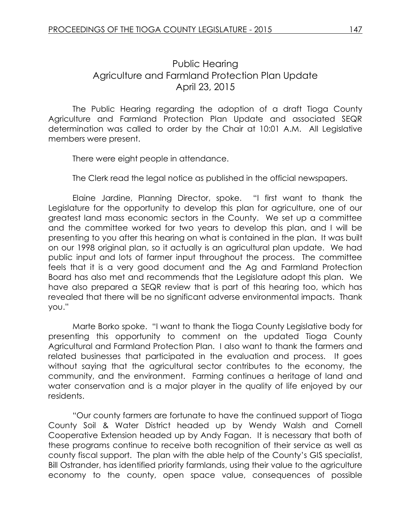## Public Hearing Agriculture and Farmland Protection Plan Update April 23, 2015

The Public Hearing regarding the adoption of a draft Tioga County Agriculture and Farmland Protection Plan Update and associated SEQR determination was called to order by the Chair at 10:01 A.M. All Legislative members were present.

There were eight people in attendance.

The Clerk read the legal notice as published in the official newspapers.

Elaine Jardine, Planning Director, spoke. "I first want to thank the Legislature for the opportunity to develop this plan for agriculture, one of our greatest land mass economic sectors in the County. We set up a committee and the committee worked for two years to develop this plan, and I will be presenting to you after this hearing on what is contained in the plan. It was built on our 1998 original plan, so it actually is an agricultural plan update. We had public input and lots of farmer input throughout the process. The committee feels that it is a very good document and the Ag and Farmland Protection Board has also met and recommends that the Legislature adopt this plan. We have also prepared a SEQR review that is part of this hearing too, which has revealed that there will be no significant adverse environmental impacts. Thank you."

Marte Borko spoke. "I want to thank the Tioga County Legislative body for presenting this opportunity to comment on the updated Tioga County Agricultural and Farmland Protection Plan. I also want to thank the farmers and related businesses that participated in the evaluation and process. It goes without saying that the agricultural sector contributes to the economy, the community, and the environment. Farming continues a heritage of land and water conservation and is a major player in the quality of life enjoyed by our residents.

"Our county farmers are fortunate to have the continued support of Tioga County Soil & Water District headed up by Wendy Walsh and Cornell Cooperative Extension headed up by Andy Fagan. It is necessary that both of these programs continue to receive both recognition of their service as well as county fiscal support. The plan with the able help of the County's GIS specialist, Bill Ostrander, has identified priority farmlands, using their value to the agriculture economy to the county, open space value, consequences of possible